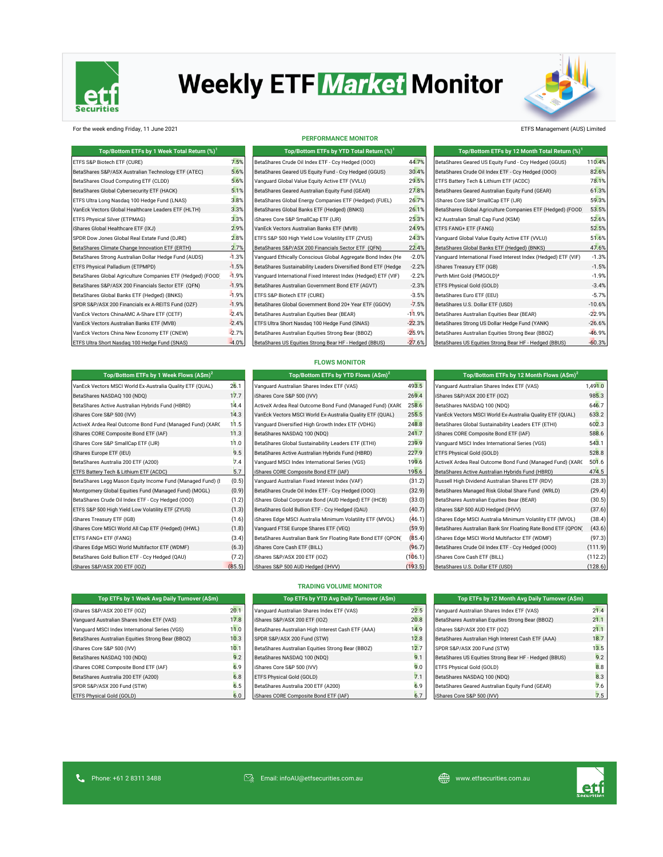

# **Weekly ETF Market Monitor**



# For the week ending Friday, 11 June 2021 ETFS Management (AUS) Limited

**Top/Bottom ETFs by 1 Week Flows (A\$m)<sup>2</sup>**

### **PERFORMANCE MONITOR**

| Top/Bottom ETFs by 1 Week Total Return (%) <sup>1</sup>     |         | Top/Bottom ETFs by YTD Total Return (%) <sup>1</sup>           |          | Top/Bottom ETFs by 12 Month Total Return (%) <sup>1</sup>      |          |
|-------------------------------------------------------------|---------|----------------------------------------------------------------|----------|----------------------------------------------------------------|----------|
| ETFS S&P Biotech ETF (CURE)                                 | 7.5%    | BetaShares Crude Oil Index ETF - Ccy Hedged (000)              | 44.7%    | BetaShares Geared US Equity Fund - Ccy Hedged (GGUS)           | 110.4%   |
| BetaShares S&P/ASX Australian Technology ETF (ATEC)         | 5.6%    | BetaShares Geared US Equity Fund - Ccy Hedged (GGUS)           | 30.4%    | BetaShares Crude Oil Index ETF - Ccy Hedged (000)              | 82.6%    |
| BetaShares Cloud Computing ETF (CLDD)                       | 5.6%    | Vanquard Global Value Equity Active ETF (VVLU)                 | 29.5%    | ETFS Battery Tech & Lithium ETF (ACDC)                         | 78.1%    |
| BetaShares Global Cybersecurity ETF (HACK)                  | 5.1%    | BetaShares Geared Australian Equity Fund (GEAR)                | 27.8%    | BetaShares Geared Australian Equity Fund (GEAR)                | 61.3%    |
| ETFS Ultra Long Nasdag 100 Hedge Fund (LNAS)                | 3.8%    | BetaShares Global Energy Companies ETF (Hedged) (FUEL)         | 26.7%    | iShares Core S&P SmallCap ETF (IJR)                            | 59.3%    |
| VanEck Vectors Global Healthcare Leaders ETF (HLTH)         | 3.3%    | BetaShares Global Banks ETF (Hedged) (BNKS)                    | 26.1%    | BetaShares Global Agriculture Companies ETF (Hedged) (FOOD     | 53.5%    |
| ETFS Physical Silver (ETPMAG)                               | 3.3%    | iShares Core S&P SmallCap ETF (IJR)                            | 25.3%    | K2 Australian Small Cap Fund (KSM)                             | 52.6%    |
| iShares Global Healthcare ETF (IXJ)                         | 2.9%    | VanEck Vectors Australian Banks ETF (MVB)                      | 24.9%    | ETFS FANG+ ETF (FANG)                                          | 52.5%    |
| SPDR Dow Jones Global Real Estate Fund (DJRE)               | 2.8%    | ETFS S&P 500 High Yield Low Volatility ETF (ZYUS)              | 24.3%    | Vanguard Global Value Equity Active ETF (VVLU)                 | 51.6%    |
| BetaShares Climate Change Innovation ETF (ERTH)             | 2.7%    | BetaShares S&P/ASX 200 Financials Sector ETF (QFN)             | 22.4%    | BetaShares Global Banks ETF (Hedged) (BNKS)                    | 47.6%    |
| BetaShares Strong Australian Dollar Hedge Fund (AUDS)       | $-1.3%$ | Vanguard Ethically Conscious Global Aggregate Bond Index (He   | $-2.0%$  | Vanguard International Fixed Interest Index (Hedged) ETF (VIF) | $-1.3%$  |
| ETFS Physical Palladium (ETPMPD)                            | $-1.5%$ | BetaShares Sustainability Leaders Diversified Bond ETF (Hedge  | $-2.2%$  | iShares Treasury ETF (IGB)                                     | $-1.5%$  |
| BetaShares Global Agriculture Companies ETF (Hedged) (FOOD) | $-1.9%$ | Vanguard International Fixed Interest Index (Hedged) ETF (VIF) | $-2.2%$  | Perth Mint Gold (PMGOLD) <sup>3</sup>                          | $-1.9%$  |
| BetaShares S&P/ASX 200 Financials Sector ETF (QFN)          | $-1.9%$ | BetaShares Australian Government Bond ETF (AGVT)               | $-2.3%$  | ETFS Physical Gold (GOLD)                                      | $-3.4%$  |
| BetaShares Global Banks ETF (Hedged) (BNKS)                 | $-1.9%$ | ETFS S&P Biotech ETF (CURE)                                    | $-3.5%$  | BetaShares Euro ETF (EEU)                                      | $-5.7%$  |
| SPDR S&P/ASX 200 Financials ex A-REITS Fund (OZF)           | $-1.9%$ | BetaShares Global Government Bond 20+ Year ETF (GGOV)          | $-7.5%$  | BetaShares U.S. Dollar ETF (USD)                               | $-10.6%$ |
| VanEck Vectors ChinaAMC A-Share ETF (CETF)                  | $-2.4%$ | BetaShares Australian Equities Bear (BEAR)                     | $-11.9%$ | BetaShares Australian Equities Bear (BEAR)                     | $-22.9%$ |
| VanEck Vectors Australian Banks ETF (MVB)                   | $-2.4%$ | ETFS Ultra Short Nasdaq 100 Hedge Fund (SNAS)                  | $-22.3%$ | BetaShares Strong US Dollar Hedge Fund (YANK)                  | $-26.6%$ |
| VanEck Vectors China New Economy ETF (CNEW)                 | $-2.7%$ | BetaShares Australian Equities Strong Bear (BBOZ)              | $-25.9%$ | BetaShares Australian Equities Strong Bear (BBOZ)              | $-46.9%$ |
| ETFS Ultra Short Nasdaq 100 Hedge Fund (SNAS)               | $-4.0%$ | BetaShares US Equities Strong Bear HF - Hedged (BBUS)          | $-27.6%$ | BetaShares US Equities Strong Bear HF - Hedged (BBUS)          | $-60.3%$ |

| Top/Bottom ETFs by 12 Month Total Return (%) <sup>1</sup>      |          |
|----------------------------------------------------------------|----------|
| BetaShares Geared US Equity Fund - Ccy Hedged (GGUS)           | 110.4%   |
| BetaShares Crude Oil Index ETF - Ccy Hedged (000)              | 82.6%    |
| ETFS Battery Tech & Lithium ETF (ACDC)                         | 78.1%    |
| BetaShares Geared Australian Equity Fund (GEAR)                | 61.3%    |
| iShares Core S&P SmallCap ETF (IJR)                            | 59.3%    |
| BetaShares Global Agriculture Companies ETF (Hedged) (FOOD     | 53.5%    |
| K2 Australian Small Cap Fund (KSM)                             | 52.6%    |
| ETFS FANG+ ETF (FANG)                                          | 52.5%    |
| Vanguard Global Value Equity Active ETF (VVLU)                 | 51.6%    |
| BetaShares Global Banks ETF (Hedged) (BNKS)                    | 47.6%    |
| Vanguard International Fixed Interest Index (Hedged) ETF (VIF) | $-1.3%$  |
| iShares Treasury ETF (IGB)                                     | $-1.5%$  |
| Perth Mint Gold (PMGOLD) <sup>3</sup>                          | $-1.9%$  |
| ETFS Physical Gold (GOLD)                                      | $-3.4%$  |
| BetaShares Euro ETF (EEU)                                      | $-5.7%$  |
| BetaShares U.S. Dollar ETF (USD)                               | $-10.6%$ |
| BetaShares Australian Equities Bear (BEAR)                     | $-22.9%$ |
| BetaShares Strong US Dollar Hedge Fund (YANK)                  | $-26.6%$ |
| BetaShares Australian Equities Strong Bear (BBOZ)              | $-46.9%$ |
| BetaShares US Equities Strong Bear HF - Hedged (BBUS)          | $-60.3%$ |

|  |  | <b>FLOWS MONITOR</b> |
|--|--|----------------------|
|  |  |                      |

| Top/Bottom ETFs by 1 Week Flows (A\$m) <sup>2</sup>        |        | Top/Bottom ETFs by YTD Flows $(A\sin)^2$                     |         | Top/Bottom ETFs by 12 Month Flows $(A\sin)^2$                |         |  |
|------------------------------------------------------------|--------|--------------------------------------------------------------|---------|--------------------------------------------------------------|---------|--|
| VanEck Vectors MSCI World Ex-Australia Quality ETF (QUAL)  | 26.1   | Vanguard Australian Shares Index ETF (VAS)                   | 493.5   | Vanguard Australian Shares Index ETF (VAS)                   | 1,491.0 |  |
| BetaShares NASDAQ 100 (NDQ)                                | 17.7   | iShares Core S&P 500 (IVV)                                   | 269.4   | iShares S&P/ASX 200 ETF (IOZ)                                | 985.3   |  |
| BetaShares Active Australian Hybrids Fund (HBRD)           | 14.4   | ActiveX Ardea Real Outcome Bond Fund (Managed Fund) (XAR(    | 258.6   | BetaShares NASDAQ 100 (NDQ)                                  | 646.7   |  |
| iShares Core S&P 500 (IVV)                                 | 14.3   | VanEck Vectors MSCI World Ex-Australia Quality ETF (QUAL)    | 255.5   | VanEck Vectors MSCI World Ex-Australia Quality ETF (QUAL)    | 633.2   |  |
| ActiveX Ardea Real Outcome Bond Fund (Managed Fund) (XARC  | 11.5   | Vanguard Diversified High Growth Index ETF (VDHG)            | 248.8   | BetaShares Global Sustainability Leaders ETF (ETHI)          | 602.3   |  |
| iShares CORE Composite Bond ETF (IAF)                      | 11.3   | BetaShares NASDAQ 100 (NDQ)                                  | 241.7   | iShares CORE Composite Bond ETF (IAF)                        | 588.6   |  |
| iShares Core S&P SmallCap ETF (IJR)                        | 11.0   | BetaShares Global Sustainability Leaders ETF (ETHI)          | 239.9   | Vanguard MSCI Index International Series (VGS)               | 543.1   |  |
| iShares Europe ETF (IEU)                                   | 9.5    | BetaShares Active Australian Hybrids Fund (HBRD)             | 227.9   | ETFS Physical Gold (GOLD)                                    | 528.8   |  |
| BetaShares Australia 200 ETF (A200)                        | 7.4    | Vanquard MSCI Index International Series (VGS)               | 199.6   | ActiveX Ardea Real Outcome Bond Fund (Managed Fund) (XARC    | 501.6   |  |
| ETFS Battery Tech & Lithium ETF (ACDC)                     | 5.7    | iShares CORE Composite Bond ETF (IAF)                        | 195.6   | BetaShares Active Australian Hybrids Fund (HBRD)             | 474.5   |  |
| BetaShares Legg Mason Equity Income Fund (Managed Fund) (I | (0.5)  | Vanquard Australian Fixed Interest Index (VAF)               | (31.2)  | Russell High Dividend Australian Shares ETF (RDV)            | (28.3)  |  |
| Montgomery Global Equities Fund (Managed Fund) (MOGL)      | (0.9)  | BetaShares Crude Oil Index ETF - Ccy Hedged (000)            | (32.9)  | BetaShares Managed Risk Global Share Fund (WRLD)             | (29.4)  |  |
| BetaShares Crude Oil Index ETF - Ccy Hedged (000)          | (1.2)  | iShares Global Corporate Bond (AUD Hedged) ETF (IHCB)        | (33.0)  | BetaShares Australian Equities Bear (BEAR)                   | (30.5)  |  |
| ETFS S&P 500 High Yield Low Volatility ETF (ZYUS)          | (1.3)  | BetaShares Gold Bullion ETF - Ccy Hedged (QAU)               | (40.7)  | iShares S&P 500 AUD Hedged (IHVV)                            | (37.6)  |  |
| iShares Treasury ETF (IGB)                                 | (1.6)  | iShares Edge MSCI Australia Minimum Volatility ETF (MVOL)    | (46.1)  | iShares Edge MSCI Australia Minimum Volatility ETF (MVOL)    | (38.4)  |  |
| iShares Core MSCI World All Cap ETF (Hedged) (IHWL)        | (1.8)  | Vanquard FTSE Europe Shares ETF (VEQ)                        | (59.9)  | BetaShares Australian Bank Snr Floating Rate Bond ETF (QPON) | (43.6)  |  |
| ETFS FANG+ ETF (FANG)                                      | (3.4)  | BetaShares Australian Bank Snr Floating Rate Bond ETF (QPON) | (85.4)  | iShares Edge MSCI World Multifactor ETF (WDMF)               | (97.3)  |  |
| iShares Edge MSCI World Multifactor ETF (WDMF)             | (6.3)  | iShares Core Cash ETF (BILL)                                 | (96.7)  | BetaShares Crude Oil Index ETF - Ccy Hedged (000)            | (111.9) |  |
| BetaShares Gold Bullion ETF - Ccy Hedged (QAU)             | (7.2)  | iShares S&P/ASX 200 ETF (IOZ)                                | (106.1) | iShares Core Cash ETF (BILL)                                 | (112.2) |  |
| iShares S&P/ASX 200 ETF (IOZ)                              | (85.5) | iShares S&P 500 AUD Hedged (IHVV)                            | (193.5) | BetaShares U.S. Dollar ETF (USD)                             | (128.6) |  |

| Top/Bottom ETFs by 12 Month Flows $(A\$ m)^2                 |         |
|--------------------------------------------------------------|---------|
| Vanguard Australian Shares Index ETF (VAS)                   | 1,491.0 |
| iShares S&P/ASX 200 ETF (IOZ)                                | 985.3   |
| BetaShares NASDAQ 100 (NDQ)                                  | 646.7   |
| VanEck Vectors MSCI World Ex-Australia Quality ETF (QUAL)    | 633.2   |
| BetaShares Global Sustainability Leaders ETF (ETHI)          | 602.3   |
| iShares CORE Composite Bond ETF (IAF)                        | 588.6   |
| Vanguard MSCI Index International Series (VGS)               | 543.1   |
| ETFS Physical Gold (GOLD)                                    | 528.8   |
| ActiveX Ardea Real Outcome Bond Fund (Managed Fund) (XARC    | 501.6   |
| BetaShares Active Australian Hybrids Fund (HBRD)             | 474.5   |
| Russell High Dividend Australian Shares ETF (RDV)            | (28.3)  |
| BetaShares Managed Risk Global Share Fund (WRLD)             | (29.4)  |
| BetaShares Australian Equities Bear (BEAR)                   | (30.5)  |
| iShares S&P 500 AUD Hedged (IHVV)                            | (37.6)  |
| iShares Edge MSCI Australia Minimum Volatility ETF (MVOL)    | (38.4)  |
| BetaShares Australian Bank Snr Floating Rate Bond ETF (QPON) | (43.6)  |
| iShares Edge MSCI World Multifactor ETF (WDMF)               | (97.3)  |
| BetaShares Crude Oil Index ETF - Ccy Hedged (OOO)            | (111.9) |
| iShares Core Cash ETF (BILL)                                 | (112.2) |
|                                                              |         |

# **TRADING VOLUME MONITOR**

| Top ETFs by 1 Week Avg Daily Turnover (A\$m)      |      | Top ETFs by YTD Avg Daily Turnover (A\$m)          |      | Top ETFs by 12 Month Avg Daily Turnover (A\$m)        |      |
|---------------------------------------------------|------|----------------------------------------------------|------|-------------------------------------------------------|------|
| Shares S&P/ASX 200 ETF (IOZ)                      | 20.1 | Vanquard Australian Shares Index ETF (VAS)         | 22.5 | Vanquard Australian Shares Index ETF (VAS)            | 21.4 |
| Vanquard Australian Shares Index ETF (VAS)        | 17.8 | iShares S&P/ASX 200 ETF (IOZ)                      | 20.8 | BetaShares Australian Equities Strong Bear (BBOZ)     | 21.1 |
| Vanquard MSCI Index International Series (VGS)    | 11.0 | BetaShares Australian High Interest Cash ETF (AAA) | 14.9 | iShares S&P/ASX 200 ETF (IOZ)                         | 21.1 |
| BetaShares Australian Equities Strong Bear (BBOZ) | 10.3 | SPDR S&P/ASX 200 Fund (STW)                        | 12.8 | BetaShares Australian High Interest Cash ETF (AAA)    | 18.7 |
| Shares Core S&P 500 (IVV)                         | 10.7 | BetaShares Australian Equities Strong Bear (BBOZ)  | 12.7 | SPDR S&P/ASX 200 Fund (STW)                           | 13.5 |
| BetaShares NASDAQ 100 (NDQ)                       | 9.2  | BetaShares NASDAQ 100 (NDQ)                        | 9.1  | BetaShares US Equities Strong Bear HF - Hedged (BBUS) | 9.2  |
| Shares CORE Composite Bond ETF (IAF)              | 6.9  | iShares Core S&P 500 (IVV)                         | 9.0  | ETFS Physical Gold (GOLD)                             | 8.8  |
| BetaShares Australia 200 ETF (A200)               | 6.8  | ETFS Physical Gold (GOLD)                          | 7.1  | BetaShares NASDAQ 100 (NDQ)                           | 8.3  |
| SPDR S&P/ASX 200 Fund (STW)                       | 6.5  | BetaShares Australia 200 ETF (A200)                | 6.9  | BetaShares Geared Australian Equity Fund (GEAR)       | 7.6  |
| ETFS Physical Gold (GOLD)                         | 6.0  | IShares CORE Composite Bond ETF (IAF)              | 6.7  | iShares Core S&P 500 (IVV)                            | 7.5  |

| Top ETFs by 12 Month Avg Daily Turnover (ASm)         |      |
|-------------------------------------------------------|------|
| Vanguard Australian Shares Index ETF (VAS)            | 21.4 |
| BetaShares Australian Equities Strong Bear (BBOZ)     | 21.1 |
| iShares S&P/ASX 200 ETF (IOZ)                         | 21.1 |
| BetaShares Australian High Interest Cash ETF (AAA)    | 18.7 |
| SPDR S&P/ASX 200 Fund (STW)                           | 13.5 |
| BetaShares US Equities Strong Bear HF - Hedged (BBUS) | 9.2  |
| ETFS Physical Gold (GOLD)                             | 8.8  |
| BetaShares NASDAQ 100 (NDQ)                           | 8.3  |
| BetaShares Geared Australian Equity Fund (GEAR)       | 7.6  |
| iShares Core S&P 500 (IVV)                            | 7.5  |

| Top ETFs by 1 Week Avg Daily Turnover (ASm)       |                |
|---------------------------------------------------|----------------|
| iShares S&P/ASX 200 ETF (IOZ)                     | 20.1           |
| Vanquard Australian Shares Index ETF (VAS)        | 17.8           |
| Vanguard MSCI Index International Series (VGS)    | 11.0           |
| BetaShares Australian Equities Strong Bear (BBOZ) | 10.3           |
| iShares Core S&P 500 (IVV)                        | 10.1           |
| BetaShares NASDAO 100 (NDO)                       | 9.2            |
| iShares CORE Composite Bond ETF (IAF)             | 6 <sup>c</sup> |
| BetaShares Australia 200 ETF (A200)               | 6.8            |
| SPDR S&P/ASX 200 Fund (STW)                       | 6.5            |
| ETFS Physical Gold (GOLD)                         | 6 <sub>0</sub> |